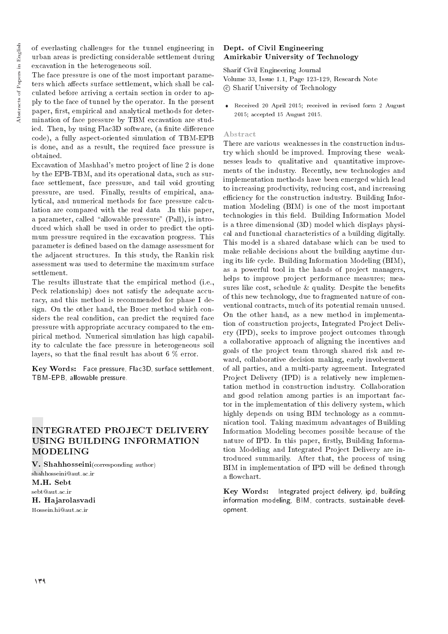of everlasting challenges for the tunnel engineering in urban areas is predicting considerable settlement during excavation in the heterogeneous soil.

The face pressure is one of the most important parameters which affects surface settlement, which shall be calculated before arriving a certain section in order to apply to the face of tunnel by the operator. In the present paper, first, empirical and analytical methods for determination of face pressure by TBM excavation are studied. Then, by using Flac3D software, (a finite difference code), a fully aspect-oriented simulation of TBM-EPB is done, and as a result, the required face pressure is obtained.

Excavation of Mashhad's metro project of line 2 is done by the EPB-TBM, and its operational data, such as surface settlement, face pressure, and tail void grouting pressure, are used. Finally, results of empirical, analytical, and numerical methods for face pressure calculation are compared with the real data . In this paper, a parameter, called "allowable pressure" (Pall), is introduced which shall be used in order to predict the optimum pressure required in the excavation progress. This parameter is defined based on the damage assessment for the adjacent structures. In this study, the Rankin risk assessment was used to determine the maximum surface settlement.

The results illustrate that the empirical method (i.e., Peck relationship) does not satisfy the adequate accuracy, and this method is recommended for phase I design. On the other hand, the Broer method which considers the real condition, can predict the required face pressure with appropriate accuracy compared to the empirical method. Numerical simulation has high capability to calculate the face pressure in heterogeneous soil layers, so that the final result has about 6  $\%$  error.

Key Words: Face pressure, Flac3D, surface settlement, TBM-EPB, allowable pressure.

## INTEGRATED PROJECT DELIVERY USING BUILDING INFORMATION MODELING

V. Shahhosseini(corresponding author) shahhosseini@aut.ac.ir M.H. Sebt sebt@aut.ac.ir H. Hajarolasvadi Hossein.hi@aut.ac.ir

#### Dept. of Civil Engineering Amirkabir University of Technology

Sharif Civil Engineering Journal Volume 33, Issue 1.1, Page 123-129, Research Note c Sharif University of Technology

 Received 20 April 2015; received in revised form 2 August 2015; accepted 15 August 2015.

#### Abstract

There are various weaknesses in the construction industry which should be improved. Improving these weaknesses leads to qualitative and quantitative improvements of the industry. Recently, new technologies and implementation methods have been emerged which lead to increasing productivity, reducing cost, and increasing efficiency for the construction industry. Building Information Modeling (BIM) is one of the most important technologies in this field. Building Information Model is a three dimensional (3D) model which displays physical and functional characteristics of a building digitally. This model is a shared database which can be used to make reliable decisions about the building anytime during its life cycle. Building Information Modeling (BIM), as a powerful tool in the hands of project managers, helps to improve project performance measures; measures like cost, schedule  $&$  quality. Despite the benefits of this new technology, due to fragmented nature of conventional contracts, much of its potential remain unused. On the other hand, as a new method in implementation of construction projects, Integrated Project Delivery (IPD), seeks to improve project outcomes through a collaborative approach of aligning the incentives and goals of the project team through shared risk and reward, collaborative decision making, early involvement of all parties, and a multi-party agreement. Integrated Project Delivery (IPD) is a relatively new implementation method in construction industry. Collaboration and good relation among parties is an important factor in the implementation of this delivery system, which highly depends on using BIM technology as a communication tool. Taking maximum advantages of Building Information Modeling becomes possible because of the nature of IPD. In this paper, firstly, Building Information Modeling and Integrated Project Delivery are introduced summarily. After that, the process of using BIM in implementation of IPD will be defined through a flowchart.

Key Words: Integrated project delivery, ipd, building information modeling, BIM, contracts, sustainable development.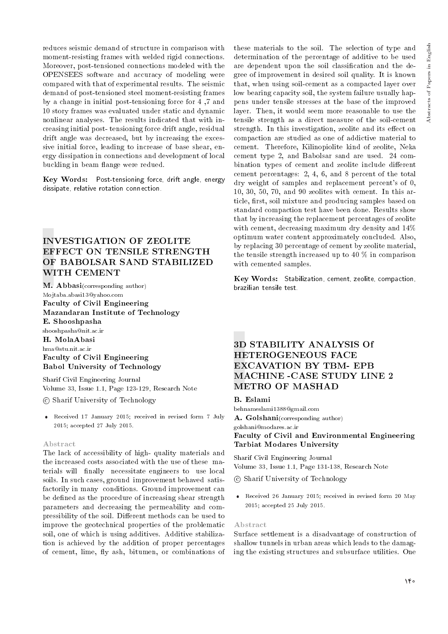reduces seismic demand of structure in comparison with moment-resisting frames with welded rigid connections. Moreover, post-tensioned connections modeled with the OPENSEES software and accuracy of modeling were compared with that of experimental results. The seismic demand of post-tensioned steel moment-resisting frames by a change in initial post-tensioning force for 4 ,7 and 10 story frames was evaluated under static and dynamic nonlinear analyses. The results indicated that with increasing initial post- tensioning force drift angle, residual drift angle was decreased, but by increasing the excessive initial force, leading to increase of base shear, energy dissipation in connections and development of local buckling in beam 
ange were redued.

Key Words: Post-tensioning force, drift angle, energy dissipate, relative rotation connection.

## INVESTIGATION OF ZEOLITE EFFECT ON TENSILE STRENGTH OF BABOLSAR SAND STABILIZED WITH CEMENT

M. Abbasi(corresponding author) Mojtaba.abasi13@yahoo.com Faculty of Civil Engineering Mazandaran Institute of Technology E. Shooshpasha shooshpasha@nit.ac.ir H. MolaAbasi hma@stu.nit.ac.ir Faculty of Civil Engineering Babol University of Technology

Sharif Civil Engineering Journal Volume 33, Issue 1.1, Page 123-129, Research Note

c Sharif University of Technology

 Received 17 January 2015; received in revised form 7 July 2015; accepted 27 July 2015.

#### Abstract

The lack of accessibility of high- quality materials and the increased costs associated with the use of these materials will finally necessitate engineers to use local soils. In such cases, ground improvement behaved satisfactorily in many conditions. Ground improvement can be defined as the procedure of increasing shear strength parameters and decreasing the permeability and compressibility of the soil. Different methods can be used to improve the geotechnical properties of the problematic soil, one of which is using additives. Additive stabilization is achieved by the addition of proper percentages of cement, lime, fly ash, bitumen, or combinations of these materials to the soil. The selection of type and determination of the percentage of additive to be used are dependent upon the soil classication and the degree of improvement in desired soil quality. It is known that, when using soil-cement as a compacted layer over low bearing capacity soil, the system failure usually happens under tensile stresses at the base of the improved layer. Then, it would seem more reasonable to use the tensile strength as a direct measure of the soil-cement strength. In this investigation, zeolite and its effect on compaction are studied as one of addictive material to cement. Therefore, Kilinopiolite kind of zeolite, Neka cement type 2, and Babolsar sand are used. 24 combination types of cement and zeolite include different cement percentages: 2, 4, 6, and 8 percent of the total dry weight of samples and replacement percent's of 0, 10, 30, 50, 70, and 90 zeolites with cement. In this article, first, soil mixture and producing samples based on standard compaction test have been done. Results show that by increasing the replacement percentages of zeolite with cement, decreasing maximum dry density and 14% optimum water content approximately concluded. Also, by replacing 30 percentage of cement by zeolite material, the tensile strength increased up to 40 % in comparison with cemented samples.

Key Words: Stabilization, cement, zeolite, compaction, brazilian tensile test.

## 3D STABILITY ANALYSIS Of HETEROGENEOUS FACE EXCAVATION BY TBM- EPB MACHINE -CASE STUDY LINE 2 METRO OF MASHAD

#### B. Eslami

behnameslami1388@gmail.com A. Golshani(corresponding author) golshani@modares.ac.ir Faculty of Civil and Environmental Engineering Tarbiat Modares University

Sharif Civil Engineering Journal Volume 33, Issue 1.1, Page 131-138, Research Note

c Sharif University of Technology

 Received 26 January 2015; received in revised form 20 May 2015; accepted 25 July 2015.

#### Abstract

Surface settlement is a disadvantage of construction of shallow tunnels in urban areas which leads to the damaging the existing structures and subsurface utilities. One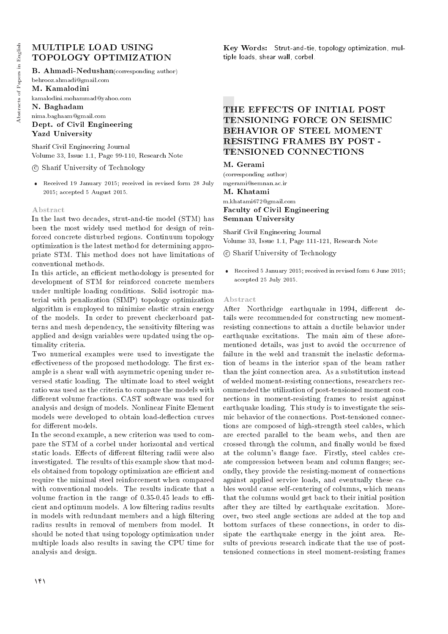## MULTIPLE LOAD USING TOPOLOGY OPTIMIZATION

B. Ahmadi-Nedushan(corresponding author)

behrooz.ahmadi@gmail.com

M. Kamalodini kamalodini.mohammad@yahoo.com

N. Baghadam nima.baghaam@gmail.com

Dept. of Civil Engineering Yazd University

Sharif Civil Engineering Journal Volume 33, Issue 1.1, Page 99-110, Research Note

c Sharif University of Technology

 Received 19 January 2015; received in revised form 28 July 2015; accepted 5 August 2015.

#### Abstract

In the last two decades, strut-and-tie model (STM) has been the most widely used method for design of reinforced concrete disturbed regions. Continuum topology optimization is the latest method for determining appropriate STM. This method does not have limitations of conventional methods.

In this article, an efficient methodology is presented for development of STM for reinforced concrete members under multiple loading conditions. Solid isotropic material with penalization (SIMP) topology optimization algorithm is employed to minimize elastic strain energy of the models. In order to prevent checkerboard patterns and mesh dependency, the sensitivity filtering was applied and design variables were updated using the optimality criteria.

Two numerical examples were used to investigate the effectiveness of the proposed methodology. The first example is a shear wall with asymmetric opening under reversed static loading. The ultimate load to steel weight ratio was used as the criteria to compare the models with different volume fractions. CAST software was used for analysis and design of models. Nonlinear Finite Element models were developed to obtain load-deflection curves for different models.

In the second example, a new criterion was used to compare the STM of a corbel under horizontal and vertical static loads. Effects of different filtering radii were also investigated. The results of this example show that models obtained from topology optimization are efficient and require the minimal steel reinforcement when compared with conventional models. The results indicate that a volume fraction in the range of  $0.35$ -0.45 leads to efficient and optimum models. A low filtering radius results in models with redundant members and a high filtering radius results in removal of members from model. It should be noted that using topology optimization under multiple loads also results in saving the CPU time for analysis and design.

Key Words: Strut-and-tie, topology optimization, multiple loads, shear wall, corbel.

## THE EFFECTS OF INITIAL POST TENSIONING FORCE ON SEISMIC BEHAVIOR OF STEEL MOMENT RESISTING FRAMES BY POST - TENSIONED CONNECTIONS

#### M. Gerami

(corresponding author) mgerami@semnan.ac.ir

M. Khatami

m.khatami672@gmail.com Faculty of Civil Engineering Semnan University

Sharif Civil Engineering Journal Volume 33, Issue 1.1, Page 111-121, Research Note

c Sharif University of Technology

 Received 5 January 2015; received in revised form 6 June 2015; accepted 25 July 2015.

#### Abstract

After Northridge earthquake in 1994, different details were recommended for constructing new momentresisting connections to attain a ductile behavior under earthquake excitations. The main aim of these aforementioned details, was just to avoid the occurrence of failure in the weld and transmit the inelastic deformation of beams in the interior span of the beam rather than the joint connection area. As a substitution instead of welded moment-resisting connections, researchers recommended the utilization of post-tensioned moment connections in moment-resisting frames to resist against earthquake loading. This study is to investigate the seismic behavior of the connections. Post-tensioned connections are composed of high-strength steel cables, which are erected parallel to the beam webs, and then are crossed through the column, and finally would be fixed at the column's 
ange face. Firstly, steel cables create compression between beam and column 
anges; secondly, they provide the resisting-moment of connections against applied service loads, and eventually these cables would cause self-centering of columns, which means that the columns would get back to their initial position after they are tilted by earthquake excitation. Moreover, two steel angle sections are added at the top and bottom surfaces of these connections, in order to dissipate the earthquake energy in the joint area. Results of previous research indicate that the use of posttensioned connections in steel moment-resisting frames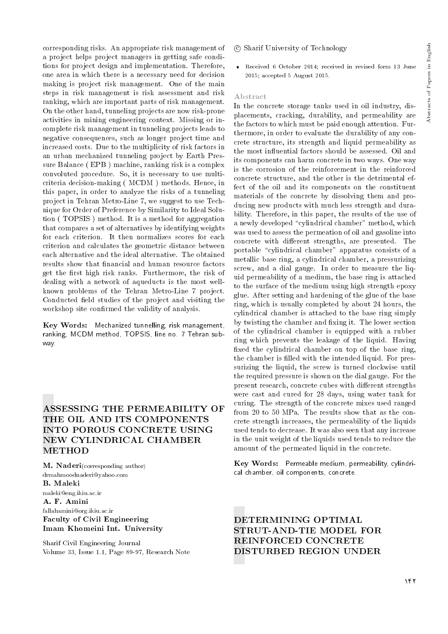corresponding risks. An appropriate risk management of a project helps project managers in getting safe conditions for project design and implementation. Therefore, one area in which there is a necessary need for decision making is project risk management. One of the main steps in risk management is risk assessment and risk ranking, which are important parts of risk management. On the other hand, tunneling projects are now risk-prone activities in mining engineering context. Missing or incomplete risk management in tunneling projects leads to negative consequences, such as longer project time and increased costs. Due to the multiplicity of risk factors in an urban mechanized tunneling project by Earth Pressure Balance ( EPB ) machine, ranking risk is a complex convoluted procedure. So, it is necessary to use multicriteria decision-making ( MCDM ) methods. Hence, in this paper, in order to analyze the risks of a tunneling project in Tehran Metro-Line 7, we suggest to use Technique for Order of Preference by Similarity to Ideal Solution ( TOPSIS ) method. It is a method for aggregation that compares a set of alternatives by identifying weights for each criterion. It then normalizes scores for each criterion and calculates the geometric distance between each alternative and the ideal alternative. The obtained results show that financial and human resource factors get the first high risk ranks. Furthermore, the risk of dealing with a network of aqueducts is the most wellknown problems of the Tehran Metro-Line 7 project. Conducted field studies of the project and visiting the workshop site confirmed the validity of analysis.

Key Words: Mechanized tunnelling, risk management, ranking, MCDM method, TOPSIS, line no. 7 Tehran subway.

## ASSESSING THE PERMEABILITY OF THE OIL AND ITS COMPONENTS INTO POROUS CONCRETE USING NEW CYLINDRICAL CHAMBER METHOD

M. Naderi(corresponding author) drmahmoodnaderi@yahoo.com B. Maleki maleki@eng.ikiu.ac.ir A. F. Amini fallahamini@org.ikiu.ac.ir

Faculty of Civil Engineering Imam Khomeini Int. University

Sharif Civil Engineering Journal Volume 33, Issue 1.1, Page 89-97, Research Note

- c Sharif University of Technology
- Received 6 October 2014; received in revised form 13 June 2015; accepted 5 August 2015.

#### Abstract

In the concrete storage tanks used in oil industry, displacements, cracking, durability, and permeability are the factors to which must be paid enough attention. Furthermore, in order to evaluate the durability of any concrete structure, its strength and liquid permeability as the most influential factors should be assessed. Oil and its components can harm concrete in two ways. One way is the corrosion of the reinforcement in the reinforced concrete structure, and the other is the detrimental effect of the oil and its components on the constituent materials of the concrete by dissolving them and producing new products with much less strength and durability. Therefore, in this paper, the results of the use of a newly developed "cylindrical chamber" method, which was used to assess the permeation of oil and gasoline into concrete with different strengths, are presented. The portable "cylindrical chamber" apparatus consists of a metallic base ring, a cylindrical chamber, a pressurizing screw, and a dial gauge. In order to measure the liquid permeability of a medium, the base ring is attached to the surface of the medium using high strength epoxy glue. After setting and hardening of the glue of the base ring, which is usually completed by about 24 hours, the cylindrical chamber is attached to the base ring simply by twisting the chamber and fixing it. The lower section of the cylindrical chamber is equipped with a rubber ring which prevents the leakage of the liquid. Having xed the cylindrical chamber on top of the base ring, the chamber is filled with the intended liquid. For pressurizing the liquid, the screw is turned clockwise until the required pressure is shown on the dial gauge. For the present research, concrete cubes with different strengths were cast and cured for 28 days, using water tank for curing. The strength of the concrete mixes used ranged from 20 to 50 MPa. The results show that as the concrete strength increases, the permeability of the liquids used tends to decrease. It was also seen that any increase in the unit weight of the liquids used tends to reduce the amount of the permeated liquid in the concrete.

Key Words: Permeable medium, permeability, cylindrical chamber, oil components, concrete.

DETERMINING OPTIMAL STRUT-AND-TIE MODEL FOR REINFORCED CONCRETE DISTURBED REGION UNDER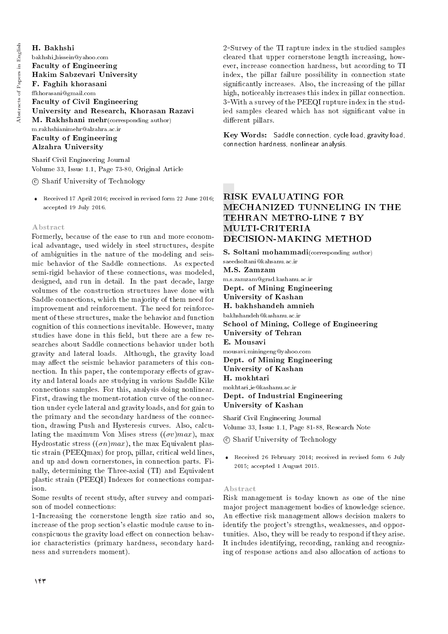#### H. Bakhshi bakhshi hissein@yahoo.com Faculty of Engineering Hakim Sabzevari University F. Faghih khorasani khorasani@gmail.com Faculty of Civil Engineering University and Research, Khorasan Razavi M. Rakhshani mehr(corresponding author) m.rakhshianimehr@alzahra.ac.ir Faculty of Engineering Alzahra University

Sharif Civil Engineering Journal Volume 33, Issue 1.1, Page 73-80, Original Article

c Sharif University of Technology

 Received 17 April 2016; received in revised form 22 June 2016; accepted 19 July 2016.

#### Abstract

Formerly, because of the ease to run and more economical advantage, used widely in steel structures, despite of ambiguities in the nature of the modeling and seismic behavior of the Saddle connections. As expected semi-rigid behavior of these connections, was modeled, designed, and run in detail. In the past decade, large volumes of the construction structures have done with Saddle connections, which the majority of them need for improvement and reinforcement. The need for reinforcement of these structures, make the behavior and function cognition of this connections inevitable. However, many studies have done in this field, but there are a few researches about Saddle connections behavior under both gravity and lateral loads. Although, the gravity load may affect the seismic behavior parameters of this connection. In this paper, the contemporary effects of gravity and lateral loads are studying in various Saddle Kike connections samples. For this, analysis doing nonlinear. First, drawing the moment-rotation curve of the connection under cycle lateral and gravity loads, and for gain to the primary and the secondary hardness of the connection, drawing Push and Hysteresis curves. Also, calculating the maximum Von Mises stress  $((\sigma v)max)$ , max Hydrostatic stress  $((\sigma n)max)$ , the max Equivalent plastic strain (PEEQmax) for prop, pillar, critical weld lines, and up and down cornerstones, in connection parts. Finally, determining the Three-axial (TI) and Equivalent plastic strain (PEEQI) Indexes for connections comparison.

Some results of recent study, after survey and comparison of model connections:

<sup>1</sup>Increasing the cornerstone length size ratio and so, increase of the prop section's elastic module cause to inconspicuous the gravity load effect on connection behavior characteristics (primary hardness, secondary hardness and surrenders moment).

<sup>2</sup>Survey of the TI rapture index in the studied samples cleared that upper cornerstone length increasing, however, increase connection hardness, but according to TI index, the pillar failure possibility in connection state signicantly increases. Also, the increasing of the pillar high, noticeably increases this index in pillar connection. 3-With a survey of the PEEQI rupture index in the studied samples cleared which has not signicant value in different pillars.

Key Words: Saddle connection, cycle load, gravity load, connection hardness, nonlinear analysis.

## RISK EVALUATING FOR MECHANIZED TUNNELING IN THE TEHRAN METRO-LINE 7 BY MULTI-CRITERIA DECISION-MAKING METHOD

S. Soltani mohammadi(corresponding author) saeedsoltani@kahsanu.ac.ir M.S. Zamzam m.s.zamzam@grad.kashanu.ac.ir Dept. of Mining Engineering University of Kashan H. bakhshandeh amnieh bakhshandeh@kashanu.ac.ir School of Mining, College of Engineering University of Tehran E. Mousavi mousavi.miningeng@yahoo.com Dept. of Mining Engineering University of Kashan H. mokhtari mokhtari ie@kashanu.ac.ir Dept. of Industrial Engineering University of Kashan Sharif Civil Engineering Journal

Volume 33, Issue 1.1, Page 81-88, Research Note

c Sharif University of Technology

 Received 26 February 2014; received in revised form 6 July 2015; accepted 1 August 2015.

#### Abstract

Risk management is today known as one of the nine major project management bodies of knowledge science. An effective risk management allows decision makers to identify the project's strengths, weaknesses, and opportunities. Also, they will be ready to respond if they arise. It includes identifying, recording, ranking and recognizing of response actions and also allocation of actions to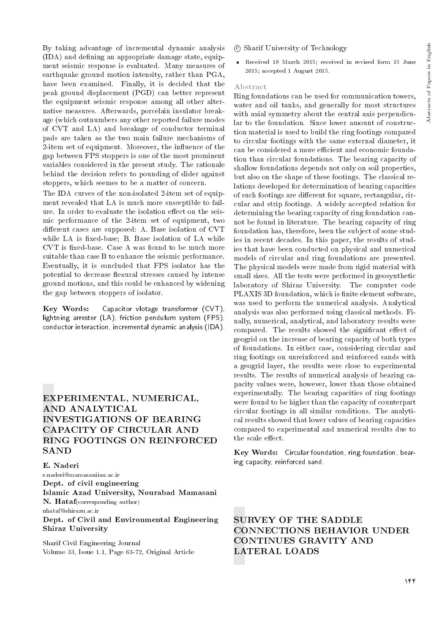By taking advantage of incremental dynamic analysis  $(IDA)$  and defining an appropriate damage state, equipment seismic response is evaluated. Many measures of earthquake ground motion intensity, rather than PGA, have been examined. Finally, it is decided that the peak ground displacement (PGD) can better represent the equipment seismic response among all other alternative measures. Afterwards, porcelain insulator breakage (which outnumbers any other reported failure modes of CVT and LA) and breakage of conductor terminal pads are taken as the two main failure mechanisms of 2-item set of equipment. Moreover, the influence of the gap between FPS stoppers is one of the most prominent variables considered in the present study. The rationale behind the decision refers to pounding of slider against stoppers, which seemes to be a matter of concern.

The IDA curves of the non-isolated 2-item set of equipment revealed that LA is much more susceptible to failure. In order to evaluate the isolation effect on the seismic performance of the 2-item set of equipment, two different cases are supposed: A. Base isolation of CVT while LA is fixed-base; B. Base isolation of LA while CVT is fixed-base. Case A was found to be much more suitable than case B to enhance the seismic performance. Eventually, it is concluded that FPS isolator has the potential to decrease flexural stresses caused by intense ground motions, and this could be enhanced by widening the gap between stoppers of isolator.

Key Words: Capacitor vlotage transformer (CVT), lightning arrester (LA), friction pendulum system (FPS), conductor interaction, incremental dynamic analysis (IDA).

## EXPERIMENTAL, NUMERICAL, AND ANALYTICAL INVESTIGATIONS OF BEARING CAPACITY OF CIRCULAR AND RING FOOTINGS ON REINFORCED **SAND**

E. Naderi

e.naderi@mamasaniiau.ac.ir Dept. of civil engineering Islamic Azad University, Nourabad Mamasani N. Hataf(corresponding author) nhataf@shirazu.ac.ir Dept. of Civil and Environmental Engineering Shiraz University

Sharif Civil Engineering Journal Volume 33, Issue 1.1, Page 63-72, Original Article

#### c Sharif University of Technology

 Received 18 March 2015; received in revised form 15 June 2015; accepted 1 August 2015.

#### Abstract

Ring foundations can be used for communication towers, water and oil tanks, and generally for most structures with axial symmetry about the central axis perpendicular to the foundation. Since lower amount of construction material is used to build the ring footings compared to circular footings with the same external diameter, it can be considered a more efficient and economic foundation than circular foundations. The bearing capacity of shallow foundations depends not only on soil properties, but also on the shape of these footings. The classical relations developed for determination of bearing capacities of such footings are different for square, rectangular, circular and strip footings. A widely accepted relation for determining the bearing capacity of ring foundation cannot be found in literature. The bearing capacity of ring foundation has, therefore, been the subject of some studies in recent decades. In this paper, the results of studies that have been conducted on physical and numerical models of circular and ring foundations are presented. The physical models were made from rigid material with small sizes. All the tests were performed in geosynthetic laboratory of Shiraz University. The computer code PLAXIS 3D foundation, which is finite element software, was used to perform the numerical analysis. Analytical analysis was also performed using classical methods. Finally, numerical, analytical, and laboratory results were compared. The results showed the significant effect of geogrid on the increase of bearing capacity of both types of foundations. In either case, considering circular and ring footings on unreinforced and reinforced sands with a geogrid layer, the results were close to experimental results. The results of numerical analysis of bearing capacity values were, however, lower than those obtained experimentally. The bearing capacities of ring footings were found to be higher than the capacity of counterpart circular footings in all similar conditions. The analytical results showed that lower values of bearing capacities compared to experimental and numerical results due to the scale effect.

Key Words: Circular foundation, ring foundation, bearing capacity, reinforced sand.

SURVEY OF THE SADDLE CONNECTIONS BEHAVIOR UNDER CONTINUES GRAVITY AND LATERAL LOADS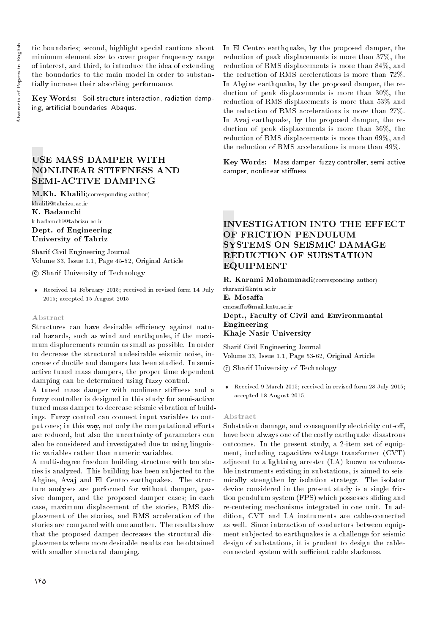tic boundaries; second, highlight special cautions about minimum element size to cover proper frequency range of interest, and third, to introduce the idea of extending the boundaries to the main model in order to substantially increase their absorbing performance.

Key Words: Soil-structure interaction, radiation damping, articial boundaries, Abaqus.

## USE MASS DAMPER WITH NONLINEAR STIFFNESS AND SEMI-ACTIVE DAMPING

M.Kh. Khalili(corresponding author) khalili@tabrizu.ac.ir K. Badamchi k.badamchi@tabrizu.ac.ir Dept. of Engineering University of Tabriz

Sharif Civil Engineering Journal Volume 33, Issue 1.1, Page 45-52, Original Article

c Sharif University of Technology

 Received 14 February 2015; received in revised form 14 July 2015; accepted 15 August 2015

#### Abstract

Structures can have desirable efficiency against natural hazards, such as wind and earthquake, if the maximum displacements remain as small as possible. In order to decrease the structural undesirable seismic noise, increase of ductile and dampers has been studied. In semiactive tuned mass dampers, the proper time dependent damping can be determined using fuzzy control.

A tuned mass damper with nonlinear stiffness and a fuzzy controller is designed in this study for semi-active tuned mass damper to decrease seismic vibration of buildings. Fuzzy control can connect input variables to output ones; in this way, not only the computational efforts are reduced, but also the uncertainty of parameters can also be considered and investigated due to using linguistic variables rather than numeric variables.

A multi-degree freedom building structure with ten stories is analyzed. This building has been subjected to the Abgine, Avaj and El Centro earthquakes. The structure analyses are performed for without damper, passive damper, and the proposed damper cases; in each case, maximum displacement of the stories, RMS displacement of the stories, and RMS acceleration of the stories are compared with one another. The results show that the proposed damper decreases the structural displacements where more desirable results can be obtained with smaller structural damping.

In El Centro earthquake, by the proposed damper, the reduction of peak displacements is more than 37%, the reduction of RMS displacements is more than 84%, and the reduction of RMS accelerations is more than 72%. In Abgine earthquake, by the proposed damper, the reduction of peak displacements is more than 30%, the reduction of RMS displacements is more than 53% and the reduction of RMS accelerations is more than 27%. In Avaj earthquake, by the proposed damper, the reduction of peak displacements is more than 36%, the reduction of RMS displacements is more than 69%, and the reduction of RMS accelerations is more than 49%.

Key Words: Mass damper, fuzzy controller, semi-active damper, nonlinear stiffness.

## INVESTIGATION INTO THE EFFECT OF FRICTION PENDULUM SYSTEMS ON SEISMIC DAMAGE REDUCTION OF SUBSTATION EQUIPMENT

R. Karami Mohammadi(corresponding author)

rkarami@kntu.ac.ir E. Mosaffa emosaffa@mail.kntu.ac.ir

Dept., Faculty of Civil and Environmantal Engineering Khaje Nasir University

Sharif Civil Engineering Journal Volume 33, Issue 1.1, Page 53-62, Original Article

c Sharif University of Technology

 Received 9 March 2015; received in revised form 28 July 2015; accepted 18 August 2015.

#### Abstract

Substation damage, and consequently electricity cut-off, have been always one of the costly earthquake disastrous outcomes. In the present study, a 2-item set of equipment, including capacitive voltage transformer (CVT) adjacent to a lightning arrester (LA) known as vulnerable instruments existing in substations, is aimed to seismically strengthen by isolation strategy. The isolator device considered in the present study is a single friction pendulum system (FPS) which possesses sliding and re-centering mechanisms integrated in one unit. In addition, CVT and LA instruments are cable-connected as well. Since interaction of conductors between equipment subjected to earthquakes is a challenge for seismic design of substations, it is prudent to design the cableconnected system with sufficient cable slackness.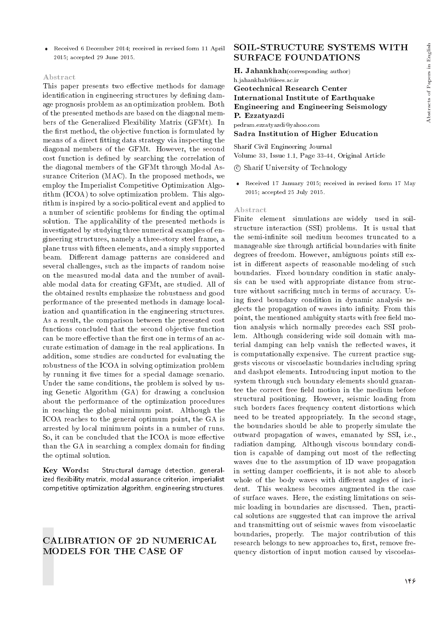Received 6 December 2014; received in revised form 11 April 2015; accepted 29 June 2015.

#### Abstract

This paper presents two effective methods for damage identification in engineering structures by defining damage prognosis problem as an optimization problem. Both of the presented methods are based on the diagonal members of the Generalized Flexibility Matrix (GFMt). In the first method, the objective function is formulated by means of a direct fitting data strategy via inspecting the diagonal members of the GFMt. However, the second cost function is defined by searching the correlation of the diagonal members of the GFMt through Modal Assurance Criterion (MAC). In the proposed methods, we employ the Imperialist Competitive Optimization Algorithm (ICOA) to solve optimization problem. This algorithm is inspired by a socio-political event and applied to a number of scientific problems for finding the optimal solution. The applicability of the presented methods is investigated by studying three numerical examples of engineering structures, namely a three-story steel frame, a plane truss with fteen elements, and a simply supported beam. Different damage patterns are considered and several challenges, such as the impacts of random noise on the measured modal data and the number of available modal data for creating GFMt, are studied. All of the obtained results emphasize the robustness and good performance of the presented methods in damage localization and quantification in the engineering structures. As a result, the comparison between the presented cost functions concluded that the second objective function can be more effective than the first one in terms of an accurate estimation of damage in the real applications. In addition, some studies are conducted for evaluating the robustness of the ICOA in solving optimization problem by running it five times for a special damage scenario. Under the same conditions, the problem is solved by using Genetic Algorithm (GA) for drawing a conclusion about the performance of the optimization procedures in reaching the global minimum point. Although the ICOA reaches to the general optimum point, the GA is arrested by local minimum points in a number of runs. So, it can be concluded that the ICOA is more effective than the GA in searching a complex domain for finding the optimal solution.

Key Words: Structural damage detection, generalized flexibility matrix, modal assurance criterion, imperialist competitive optimization algorithm, engineering structures.

## CALIBRATION OF 2D NUMERICAL MODELS FOR THE CASE OF

### SOIL-STRUCTURE SYSTEMS WITH SURFACE FOUNDATIONS

H. Jahankhah(corresponding author) h.jahankhah@iiees.ac.ir

#### Geotechnical Research Center International Institute of Earthquake Engineering and Engineering Seismology P. Ezzatyazdi

pedram.ezzatyazdi@yahoo.com Sadra Institution of Higher Education

Sharif Civil Engineering Journal

Volume 33, Issue 1.1, Page 33-44, Original Article

c Sharif University of Technology

 Received 17 January 2015; received in revised form 17 May 2015; accepted 25 July 2015.

#### Abstract

Finite element simulations are widely used in soilstructure interaction (SSI) problems. It is usual that the semi-infinite soil medium becomes truncated to a manageable size through artificial boundaries with finite degrees of freedom. However, ambiguous points still exist in different aspects of reasonable modeling of such boundaries. Fixed boundary condition in static analysis can be used with appropriate distance from structure without sacrificing much in terms of accuracy. Using fixed boundary condition in dynamic analysis neglects the propagation of waves into infinity. From this point, the mentioned ambiguity starts with free field motion analysis which normally precedes each SSI problem. Although considering wide soil domain with material damping can help vanish the reflected waves, it is computationally expensive. The current practice suggests viscous or viscoelastic boundaries including spring and dashpot elements. Introducing input motion to the system through such boundary elements should guarantee the correct free field motion in the medium before structural positioning. However, seismic loading from such borders faces frequency content distortions which need to be treated appropriately. In the second stage, the boundaries should be able to properly simulate the outward propagation of waves, emanated by SSI, i.e., radiation damping. Although viscous boundary condition is capable of damping out most of the reflecting waves due to the assumption of 1D wave propagation in setting damper coefficients, it is not able to absorb whole of the body waves with different angles of incident. This weakness becomes augmented in the case of surface waves. Here, the existing limitations on seismic loading in boundaries are discussed. Then, practical solutions are suggested that can improve the arrival and transmitting out of seismic waves from viscoelastic boundaries, properly. The major contribution of this research belongs to new approaches to, first, remove frequency distortion of input motion caused by viscoelas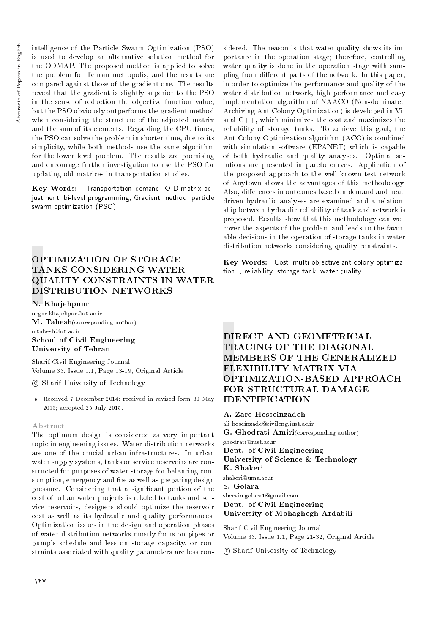intelligence of the Particle Swarm Optimization (PSO) is used to develop an alternative solution method for the ODMAP. The proposed method is applied to solve the problem for Tehran metropolis, and the results are compared against those of the gradient one. The results reveal that the gradient is slightly superior to the PSO in the sense of reduction the objective function value, but the PSO obviously outperforms the gradient method when considering the structure of the adjusted matrix and the sum of its elements. Regarding the CPU times, the PSO can solve the problem in shorter time, due to its simplicity, while both methods use the same algorithm for the lower level problem. The results are promising and encourage further investigation to use the PSO for updating old matrices in transportation studies.

Key Words: Transportation demand, O-D matrix adjustment, bi-level programming, Gradient method, particle swarm optimization (PSO).

## OPTIMIZATION OF STORAGE TANKS CONSIDERING WATER QUALITY CONSTRAINTS IN WATER DISTRIBUTION NETWORKS

#### N. Khajehpour

negar.khajehpur@ut.ac.ir M. Tabesh(corresponding author) mtabesh@ut.ac.ir School of Civil Engineering University of Tehran

Sharif Civil Engineering Journal Volume 33, Issue 1.1, Page 13-19, Original Article

#### c Sharif University of Technology

 Received 7 December 2014; received in revised form 30 May 2015; accepted 25 July 2015.

#### Abstract

The optimum design is considered as very important topic in engineering issues. Water distribution networks are one of the crucial urban infrastructures. In urban water supply systems, tanks or service reservoirs are constructed for purposes of water storage for balancing consumption, emergency and fire as well as preparing design pressure. Considering that a signicant portion of the cost of urban water projects is related to tanks and service reservoirs, designers should optimize the reservoir cost as well as its hydraulic and quality performances. Optimization issues in the design and operation phases of water distribution networks mostly focus on pipes or pump's schedule and less on storage capacity, or constraints associated with quality parameters are less con-

sidered. The reason is that water quality shows its importance in the operation stage; therefore, controlling water quality is done in the operation stage with sampling from different parts of the network. In this paper, in order to optimize the performance and quality of the water distribution network, high performance and easy implementation algorithm of NAACO (Non-dominated Archiving Ant Colony Optimization) is developed in Visual C++, which minimizes the cost and maximizes the reliability of storage tanks. To achieve this goal, the Ant Colony Optimization algorithm (ACO) is combined with simulation software (EPANET) which is capable of both hydraulic and quality analyses. Optimal solutions are presented in pareto curves. Application of the proposed approach to the well known test network of Anytown shows the advantages of this methodology. Also, differences in outcomes based on demand and head driven hydraulic analyses are examined and a relationship between hydraulic reliability of tank and network is proposed. Results show that this methodology can well cover the aspects of the problem and leads to the favorable decisions in the operation of storage tanks in water distribution networks considering quality constraints.

Key Words: Cost, multi-objective ant colony optimization, , reliability ,storage tank, water quality.

## DIRECT AND GEOMETRICAL TRACING OF THE DIAGONAL MEMBERS OF THE GENERALIZED FLEXIBILITY MATRIX VIA OPTIMIZATION-BASED APPROACH FOR STRUCTURAL DAMAGE IDENTIFICATION

A. Zare Hosseinzadeh ali hoseinzade@civileng.iust.ac.ir G. Ghodrati Amiri(corresponding author) ghodrati@iust.ac.ir Dept. of Civil Engineering University of Science & Technology K. Shakeri shakeri@uma.ac.ir S. Golara shervin.golara1@gmail.com Dept. of Civil Engineering

## University of Mohaghegh Ardabili

Sharif Civil Engineering Journal Volume 33, Issue 1.1, Page 21-32, Original Article

c Sharif University of Technology